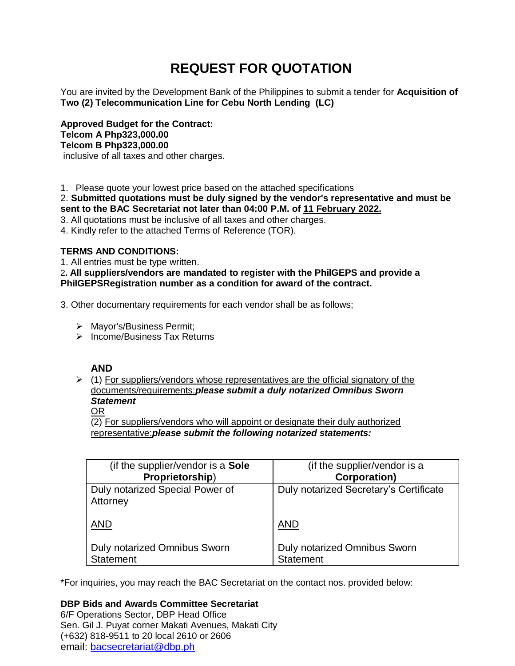# **REQUEST FOR QUOTATION**

You are invited by the Development Bank of the Philippines to submit a tender for **Acquisition of Two (2) Telecommunication Line for Cebu North Lending (LC)**

**Approved Budget for the Contract: Telcom A Php323,000.00 Telcom B Php323,000.00** inclusive of all taxes and other charges.

1. Please quote your lowest price based on the attached specifications

2. **Submitted quotations must be duly signed by the vendor's representative and must be sent to the BAC Secretariat not later than 04:00 P.M. of 11 February 2022.**

3. All quotations must be inclusive of all taxes and other charges.

4. Kindly refer to the attached Terms of Reference (TOR).

# **TERMS AND CONDITIONS:**

1. All entries must be type written.

2**. All suppliers/vendors are mandated to register with the PhilGEPS and provide a PhilGEPSRegistration number as a condition for award of the contract.**

3. Other documentary requirements for each vendor shall be as follows;

- > Mayor's/Business Permit;
- $\triangleright$  Income/Business Tax Returns

# **AND**

 $(1)$  For suppliers/vendors whose representatives are the official signatory of the documents/requirements:*please submit a duly notarized Omnibus Sworn Statement*

# OR

(2) For suppliers/vendors who will appoint or designate their duly authorized representative:*please submit the following notarized statements:*

| (if the supplier/vendor is a <b>Sole</b> )  | (if the supplier/vendor is a           |
|---------------------------------------------|----------------------------------------|
| Proprietorship)                             | <b>Corporation)</b>                    |
| Duly notarized Special Power of<br>Attorney | Duly notarized Secretary's Certificate |
| <b>AND</b>                                  | AND                                    |
| <b>Duly notarized Omnibus Sworn</b>         | Duly notarized Omnibus Sworn           |
| <b>Statement</b>                            | <b>Statement</b>                       |

\*For inquiries, you may reach the BAC Secretariat on the contact nos. provided below:

**DBP Bids and Awards Committee Secretariat**  6/F Operations Sector, DBP Head Office Sen. Gil J. Puyat corner Makati Avenues, Makati City (+632) 818-9511 to 20 local 2610 or 2606 email: [bacsecretariat@dbp.ph](mailto:bacsecretariat@dbp.ph)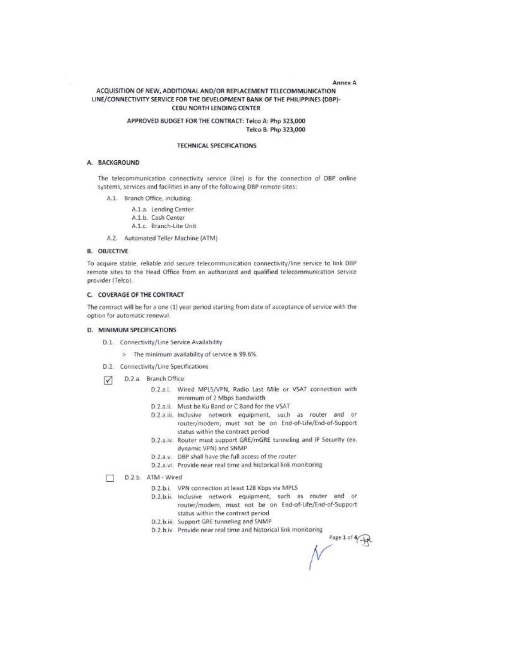#### Annex A

## ACQUISITION OF NEW, ADDITIONAL AND/OR REPLACEMENT TELECOMMUNICATION LINE/CONNECTIVITY SERVICE FOR THE DEVELOPMENT BANK OF THE PHILIPPINES (DBP)-CEBU NORTH LENDING CENTER

### APPROVED BUDGET FOR THE CONTRACT: Telco A: Php 323,000 Telco B: Php 323,000

#### **TECHNICAL SPECIFICATIONS**

#### A. BACKGROUND

The telecommunication connectivity service (line) is for the connection of DBP online systems, services and facilities in any of the following DBP remote sites:

- A.1. Branch Office, including:
	- A.1.a. Lending Center A.1.b. Cash Center
	- A.1.c. Branch-Lite Unit
- A.2. Automated Teller Machine (ATM)

#### **B. OBJECTIVE**

To acquire stable, reliable and secure telecommunication connectivity/line service to link DBP remote sites to the Head Office from an authorized and qualified telecommunication service provider (Telco).

#### C. COVERAGE OF THE CONTRACT

The contract will be for a one (1) year period starting from date of acceptance of service with the option for automatic renewal.

#### D. MINIMUM SPECIFICATIONS

- D.1. Connectivity/Line Service Availability
	- > The minimum availability of service is 99.6%.
- D.2. Connectivity/Line Specifications
- D.2.a. Branch Office  $\triangledown$ 
	- D.2.a.i. Wired MPLS/VPN, Radio Last Mile or VSAT connection with minimum of 2 Mbps bandwidth
	- D.2.a.ii. Must be Ku Band or C Band for the VSAT
	- D.2.a.iii. Inclusive network equipment, such as router and or router/modem, must not be on End-of-Life/End-of-Support status within the contract period
	- D.2.a.iv. Router must support GRE/mGRE tunneling and IP Security (ex. dynamic VPN) and SNMP
	- D.2.a.v. DBP shall have the full access of the router
	- D.2.a.vi. Provide near real time and historical link monitoring

D.2.b. ATM - Wired  $\Box$ 

- D.2.b.i. VPN connection at least 128 Kbps via MPLS
- D.2.b.ii. Inclusive network equipment, such as router and or router/modem, must not be on End-of-Life/End-of-Support status within the contract period
- D.2.b.iii. Support GRE tunneling and SNMP
- D.2.b.iv. Provide near real time and historical link monitoring

Page 1 of 4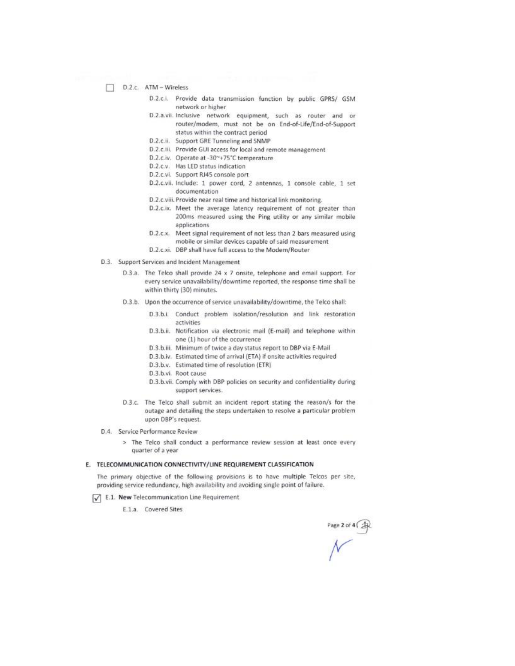- D.2.c. ATM Wireless
	- D.2.c.i. Provide data transmission function by public GPRS/ GSM network or higher
	- D.2.a.vii. Inclusive network equipment, such as router and or router/modem, must not be on End-of-Life/End-of-Support status within the contract period
	- D.2.c.ii. Support GRE Tunneling and SNMP
	- D.2.c.iii. Provide GUI access for local and remote management
	- D.2.c.iv. Operate at -30~+75°C temperature
	- D.2.c.v. Has LED status indication
	- D.2.c.vi. Support RJ45 console port
	- D.2.c.vii. Include: 1 power cord, 2 antennas, 1 console cable, 1 set documentation
	- D.2.c.viii. Provide near real time and historical link monitoring.
	- D.2.c.ix. Meet the average latency requirement of not greater than 200ms measured using the Ping utility or any similar mobile applications
	- $D.2.c.x.$ Meet signal requirement of not less than 2 bars measured using mobile or similar devices capable of said measurement
	- D.2.c.xi. DBP shall have full access to the Modem/Router
- D.3. Support Services and Incident Management
	- D.3.a. The Telco shall provide 24 x 7 onsite, telephone and email support. For every service unavailability/downtime reported, the response time shall be within thirty (30) minutes.
	- D.3.b. Upon the occurrence of service unavailability/downtime, the Telco shall:
		- D.3.b.i. Conduct problem isolation/resolution and link restoration activities
		- D.3.b.ii. Notification via electronic mail (E-mail) and telephone within one (1) hour of the occurrence
		- D.3.b.iii. Minimum of twice a day status report to DBP via E-Mail
		- D.3.b.iv. Estimated time of arrival (ETA) if onsite activities required
		- D.3.b.v. Estimated time of resolution (ETR)
		- D.3.b.vi. Root cause
		- D.3.b.vii. Comply with DBP policies on security and confidentiality during support services.
	- D.3.c. The Telco shall submit an incident report stating the reason/s for the outage and detailing the steps undertaken to resolve a particular problem upon DBP's request.
- D.4. Service Performance Review
	- > The Telco shall conduct a performance review session at least once every quarter of a year

#### E. TELECOMMUNICATION CONNECTIVITY/LINE REQUIREMENT CLASSIFICATION

The primary objective of the following provisions is to have multiple Telcos per site, providing service redundancy, high availability and avoiding single point of failure.

- T E.1. New Telecommunication Line Requirement
	- E.1.a. Covered Sites

Page 2 of 4  $\overline{a}$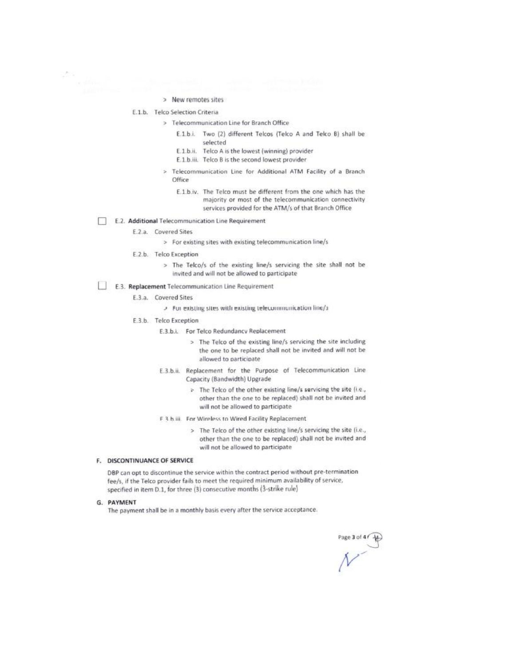- > New remotes sites
- E.1.b. Telco Selection Criteria
	- > Telecommunication Line for Branch Office
		- Two (2) different Telcos (Telco A and Telco B) shall be  $F.1 h.1$ selected
		- E.1.b.ii. Telco A is the lowest (winning) provider
		- E.1.b.iii. Telco B is the second lowest provider
		- > Telecommunication Line for Additional ATM Facility of a Branch Office
			- E.1.b.iv. The Telco must be different from the one which has the majority or most of the telecommunication connectivity services provided for the ATM/s of that Branch Office
- П E.2. Additional Telecommunication Line Requirement
	- E.2.a. Covered Sites

> For existing sites with existing telecommunication line/s

- E.2.b. Telco Exception
	- > The Telco/s of the existing line/s servicing the site shall not be invited and will not be allowed to participate
- ΓT E.3. Replacement Telecommunication Line Requirement
	- E.3.a. Covered Sites

> For existing sites with existing telecommunication line/s

- E.3.b. Telco Exception
	- E.3.b.i. For Telco Redundancy Replacement
		- > The Telco of the existing line/s servicing the site including the one to be replaced shall not be invited and will not be allowed to participate
	- E.3.b.ii. Replacement for the Purpose of Telecommunication Line Capacity (Bandwidth) Upgrade
		- > The Telco of the other existing line/s servicing the site (i.e., other than the one to be replaced) shall not be invited and will not be allowed to participate
	- F 3 h iii. For Wireless to Wired Facility Replacement
		- > The Telco of the other existing line/s servicing the site (i.e., other than the one to be replaced) shall not be invited and will not be allowed to participate

## F. DISCONTINUANCE OF SERVICE

DBP can opt to discontinue the service within the contract period without pre-termination fee/s, if the Telco provider fails to meet the required minimum availability of service, specified in item D.1, for three (3) consecutive months (3-strike rule)

G. PAYMENT

The payment shall be in a monthly basis every after the service acceptance.

Page 3 of 4